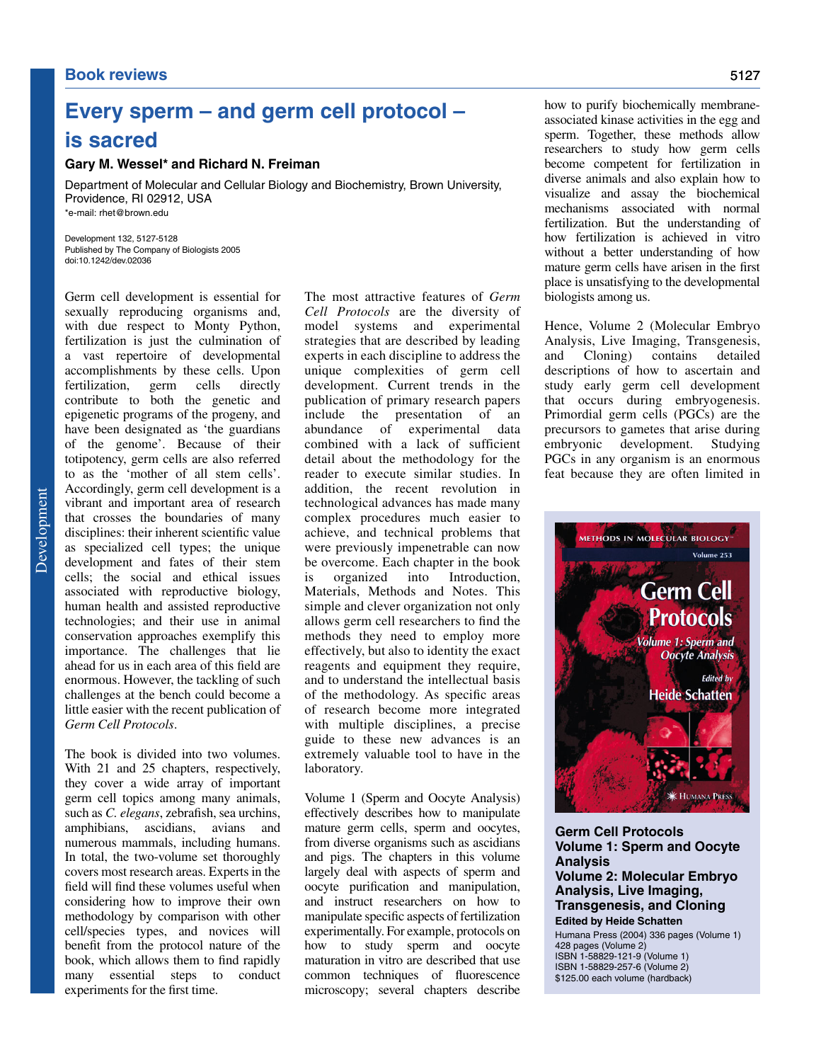# **Every sperm – and germ cell protocol – is sacred**

### **Gary M. Wessel\* and Richard N. Freiman**

Department of Molecular and Cellular Biology and Biochemistry, Brown University, Providence, RI 02912, USA \*e-mail: rhet@brown.edu

Development 132, 5127-5128 Published by The Company of Biologists 2005 doi:10.1242/dev.02036

Germ cell development is essential for sexually reproducing organisms and, with due respect to Monty Python, fertilization is just the culmination of a vast repertoire of developmental accomplishments by these cells. Upon fertilization, germ cells directly contribute to both the genetic and epigenetic programs of the progeny, and have been designated as 'the guardians of the genome'. Because of their totipotency, germ cells are also referred to as the 'mother of all stem cells'. Accordingly, germ cell development is a vibrant and important area of research that crosses the boundaries of many disciplines: their inherent scientific value as specialized cell types; the unique development and fates of their stem cells; the social and ethical issues associated with reproductive biology, human health and assisted reproductive technologies; and their use in animal conservation approaches exemplify this importance. The challenges that lie ahead for us in each area of this field are enormous. However, the tackling of such challenges at the bench could become a little easier with the recent publication of *Germ Cell Protocols*.

The book is divided into two volumes. With 21 and 25 chapters, respectively, they cover a wide array of important germ cell topics among many animals, such as *C. elegans*, zebrafish, sea urchins, amphibians, ascidians, avians and numerous mammals, including humans. In total, the two-volume set thoroughly covers most research areas. Experts in the field will find these volumes useful when considering how to improve their own methodology by comparison with other cell/species types, and novices will benefit from the protocol nature of the book, which allows them to find rapidly many essential steps to conduct experiments for the first time.

The most attractive features of *Germ Cell Protocols* are the diversity of model systems and experimental strategies that are described by leading experts in each discipline to address the unique complexities of germ cell development. Current trends in the publication of primary research papers include the presentation of an abundance of experimental data combined with a lack of sufficient detail about the methodology for the reader to execute similar studies. In addition, the recent revolution in technological advances has made many complex procedures much easier to achieve, and technical problems that were previously impenetrable can now be overcome. Each chapter in the book organized into Introduction, Materials, Methods and Notes. This simple and clever organization not only allows germ cell researchers to find the methods they need to employ more effectively, but also to identity the exact reagents and equipment they require, and to understand the intellectual basis of the methodology. As specific areas of research become more integrated with multiple disciplines, a precise guide to these new advances is an extremely valuable tool to have in the laboratory.

Volume 1 (Sperm and Oocyte Analysis) effectively describes how to manipulate mature germ cells, sperm and oocytes, from diverse organisms such as ascidians and pigs. The chapters in this volume largely deal with aspects of sperm and oocyte purification and manipulation, and instruct researchers on how to manipulate specific aspects of fertilization experimentally. For example, protocols on how to study sperm and oocyte maturation in vitro are described that use common techniques of fluorescence microscopy; several chapters describe how to purify biochemically membraneassociated kinase activities in the egg and sperm. Together, these methods allow researchers to study how germ cells become competent for fertilization in diverse animals and also explain how to visualize and assay the biochemical mechanisms associated with normal fertilization. But the understanding of how fertilization is achieved in vitro without a better understanding of how mature germ cells have arisen in the first place is unsatisfying to the developmental biologists among us.

Hence, Volume 2 (Molecular Embryo Analysis, Live Imaging, Transgenesis,<br>and Cloning) contains detailed and Cloning) contains detailed descriptions of how to ascertain and study early germ cell development that occurs during embryogenesis. Primordial germ cells (PGCs) are the precursors to gametes that arise during embryonic development. Studying PGCs in any organism is an enormous feat because they are often limited in



**Germ Cell Protocols Volume 1: Sperm and Oocyte Analysis Volume 2: Molecular Embryo Analysis, Live Imaging, Transgenesis, and Cloning Edited by Heide Schatten** Humana Press (2004) 336 pages (Volume 1) 428 pages (Volume 2) ISBN 1-58829-121-9 (Volume 1)

ISBN 1-58829-257-6 (Volume 2) \$125.00 each volume (hardback)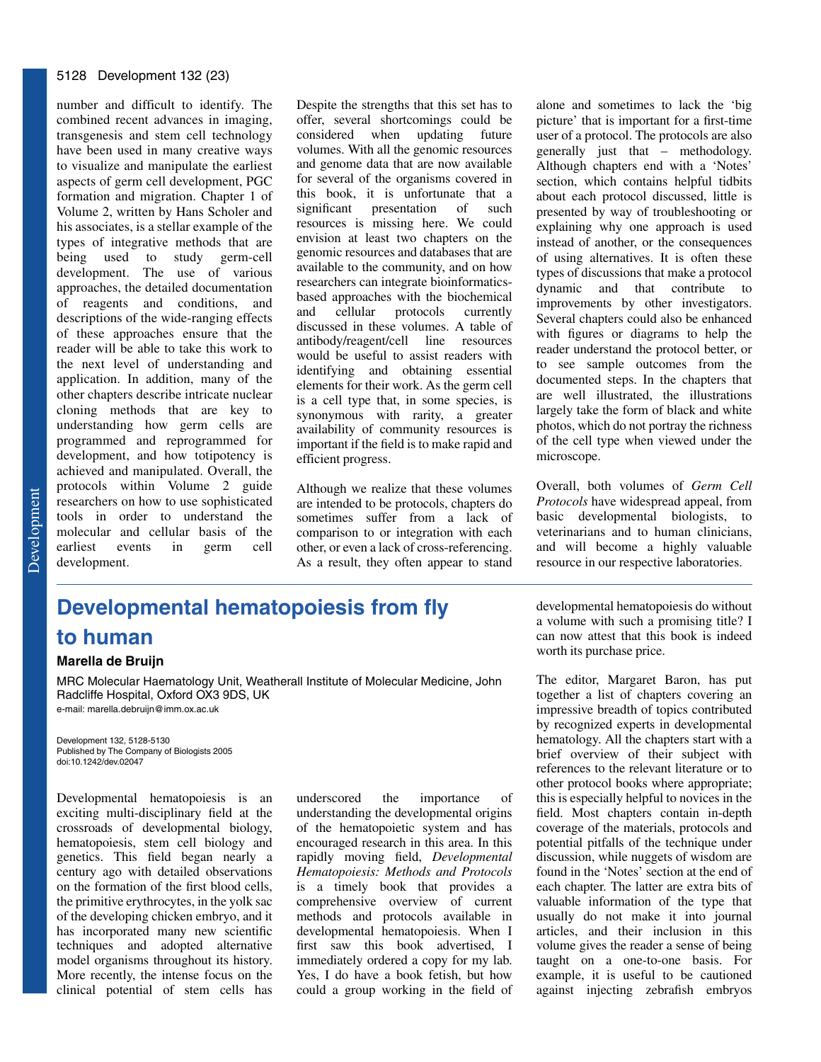number and difficult to identify. The combined recent advances in imaging, transgenesis and stem cell technology have been used in many creative ways to visualize and manipulate the earliest aspects of germ cell development, PGC formation and migration. Chapter 1 of Volume 2, written by Hans Scholer and his associates, is a stellar example of the types of integrative methods that are being used to study germ-cell development. The use of various approaches, the detailed documentation of reagents and conditions, and descriptions of the wide-ranging effects of these approaches ensure that the reader will be able to take this work to the next level of understanding and application. In addition, many of the other chapters describe intricate nuclear cloning methods that are key to understanding how germ cells are programmed and reprogrammed for development, and how totipotency is achieved and manipulated. Overall, the protocols within Volume 2 guide researchers on how to use sophisticated tools in order to understand the molecular and cellular basis of the<br>earliest events in germ cell events in germ cell development.

Despite the strengths that this set has to offer, several shortcomings could be considered when updating future volumes. With all the genomic resources and genome data that are now available for several of the organisms covered in this book, it is unfortunate that a significant presentation of such resources is missing here. We could envision at least two chapters on the genomic resources and databases that are available to the community, and on how researchers can integrate bioinformaticsbased approaches with the biochemical and cellular protocols currently discussed in these volumes. A table of antibody/reagent/cell line resources would be useful to assist readers with identifying and obtaining essential elements for their work. As the germ cell is a cell type that, in some species, is synonymous with rarity, a greater availability of community resources is important if the field is to make rapid and efficient progress.

Although we realize that these volumes are intended to be protocols, chapters do sometimes suffer from a lack of comparison to or integration with each other, or even a lack of cross-referencing. As a result, they often appear to stand

alone and sometimes to lack the 'big picture' that is important for a first-time user of a protocol. The protocols are also generally just that – methodology. Although chapters end with a 'Notes' section, which contains helpful tidbits about each protocol discussed, little is presented by way of troubleshooting or explaining why one approach is used instead of another, or the consequences of using alternatives. It is often these types of discussions that make a protocol dynamic and that contribute to improvements by other investigators. Several chapters could also be enhanced with figures or diagrams to help the reader understand the protocol better, or to see sample outcomes from the documented steps. In the chapters that are well illustrated, the illustrations largely take the form of black and white photos, which do not portray the richness of the cell type when viewed under the microscope.

Overall, both volumes of *Germ Cell Protocols* have widespread appeal, from basic developmental biologists, to veterinarians and to human clinicians, and will become a highly valuable resource in our respective laboratories.

## **Developmental hematopoiesis from fly to human**

#### **Marella de Bruijn**

MRC Molecular Haematology Unit, Weatherall Institute of Molecular Medicine, John Radcliffe Hospital, Oxford OX3 9DS, UK e-mail: marella.debruijn@imm.ox.ac.uk

Development 132, 5128-5130 Published by The Company of Biologists 2005 doi:10.1242/dev.02047

Developmental hematopoiesis is an exciting multi-disciplinary field at the crossroads of developmental biology, hematopoiesis, stem cell biology and genetics. This field began nearly a century ago with detailed observations on the formation of the first blood cells, the primitive erythrocytes, in the yolk sac of the developing chicken embryo, and it has incorporated many new scientific techniques and adopted alternative model organisms throughout its history. More recently, the intense focus on the clinical potential of stem cells has underscored the importance of understanding the developmental origins of the hematopoietic system and has encouraged research in this area. In this rapidly moving field, *Developmental Hematopoiesis: Methods and Protocols* is a timely book that provides a comprehensive overview of current methods and protocols available in developmental hematopoiesis. When I first saw this book advertised, I immediately ordered a copy for my lab. Yes, I do have a book fetish, but how could a group working in the field of developmental hematopoiesis do without a volume with such a promising title? I can now attest that this book is indeed worth its purchase price.

The editor, Margaret Baron, has put together a list of chapters covering an impressive breadth of topics contributed by recognized experts in developmental hematology. All the chapters start with a brief overview of their subject with references to the relevant literature or to other protocol books where appropriate; this is especially helpful to novices in the field. Most chapters contain in-depth coverage of the materials, protocols and potential pitfalls of the technique under discussion, while nuggets of wisdom are found in the 'Notes' section at the end of each chapter. The latter are extra bits of valuable information of the type that usually do not make it into journal articles, and their inclusion in this volume gives the reader a sense of being taught on a one-to-one basis. For example, it is useful to be cautioned against injecting zebrafish embryos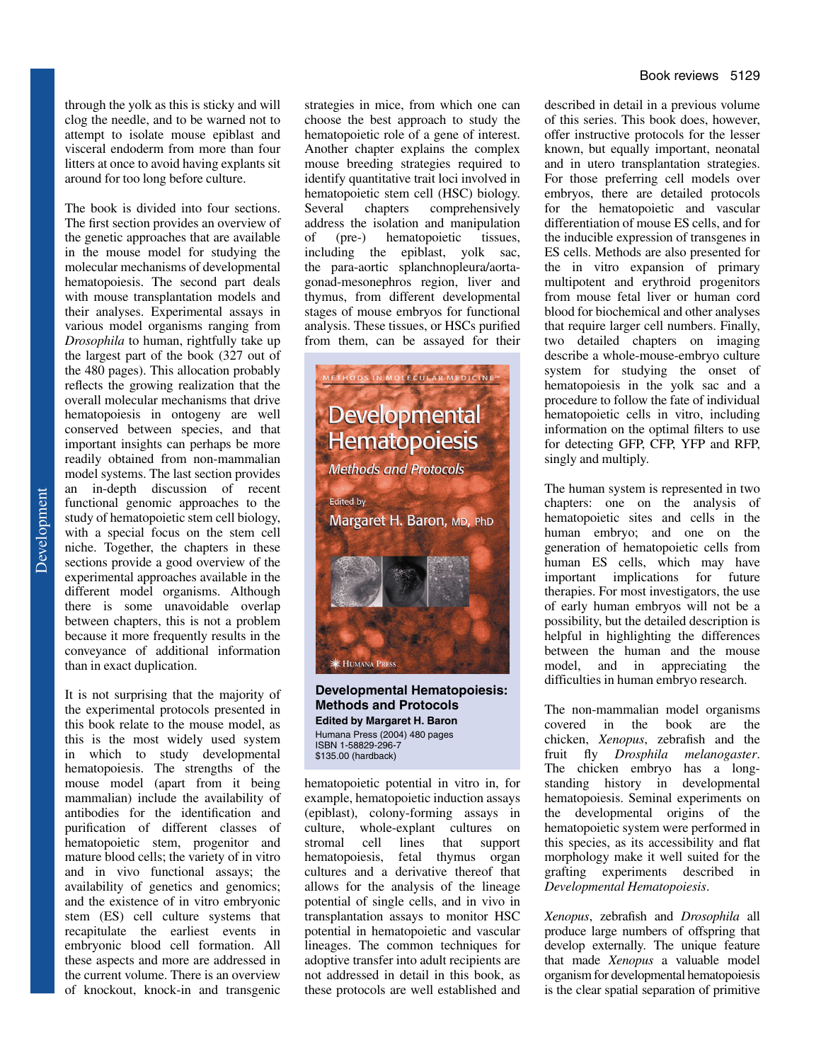through the yolk as this is sticky and will clog the needle, and to be warned not to attempt to isolate mouse epiblast and visceral endoderm from more than four litters at once to avoid having explants sit around for too long before culture.

The book is divided into four sections. The first section provides an overview of the genetic approaches that are available in the mouse model for studying the molecular mechanisms of developmental hematopoiesis. The second part deals with mouse transplantation models and their analyses. Experimental assays in various model organisms ranging from *Drosophila* to human, rightfully take up the largest part of the book (327 out of the 480 pages). This allocation probably reflects the growing realization that the overall molecular mechanisms that drive hematopoiesis in ontogeny are well conserved between species, and that important insights can perhaps be more readily obtained from non-mammalian model systems. The last section provides an in-depth discussion of recent functional genomic approaches to the study of hematopoietic stem cell biology, with a special focus on the stem cell niche. Together, the chapters in these sections provide a good overview of the experimental approaches available in the different model organisms. Although there is some unavoidable overlap between chapters, this is not a problem because it more frequently results in the conveyance of additional information than in exact duplication.

It is not surprising that the majority of the experimental protocols presented in this book relate to the mouse model, as this is the most widely used system in which to study developmental hematopoiesis. The strengths of the mouse model (apart from it being mammalian) include the availability of antibodies for the identification and purification of different classes of hematopoietic stem, progenitor and mature blood cells; the variety of in vitro and in vivo functional assays; the availability of genetics and genomics; and the existence of in vitro embryonic stem (ES) cell culture systems that recapitulate the earliest events in embryonic blood cell formation. All these aspects and more are addressed in the current volume. There is an overview of knockout, knock-in and transgenic

strategies in mice, from which one can choose the best approach to study the hematopoietic role of a gene of interest. Another chapter explains the complex mouse breeding strategies required to identify quantitative trait loci involved in hematopoietic stem cell (HSC) biology. Several chapters comprehensively address the isolation and manipulation of (pre-) hematopoietic tissues, including the epiblast, yolk sac, the para-aortic splanchnopleura/aortagonad-mesonephros region, liver and thymus, from different developmental stages of mouse embryos for functional analysis. These tissues, or HSCs purified from them, can be assayed for their



**Developmental Hematopoiesis: Methods and Protocols Edited by Margaret H. Baron** Humana Press (2004) 480 pages ISBN 1-58829-296-7 \$135.00 (hardback)

hematopoietic potential in vitro in, for example, hematopoietic induction assays (epiblast), colony-forming assays in culture, whole-explant cultures on stromal cell lines that support hematopoiesis, fetal thymus organ cultures and a derivative thereof that allows for the analysis of the lineage potential of single cells, and in vivo in transplantation assays to monitor HSC potential in hematopoietic and vascular lineages. The common techniques for adoptive transfer into adult recipients are not addressed in detail in this book, as these protocols are well established and described in detail in a previous volume of this series. This book does, however, offer instructive protocols for the lesser known, but equally important, neonatal and in utero transplantation strategies. For those preferring cell models over embryos, there are detailed protocols for the hematopoietic and vascular differentiation of mouse ES cells, and for the inducible expression of transgenes in ES cells. Methods are also presented for the in vitro expansion of primary multipotent and erythroid progenitors from mouse fetal liver or human cord blood for biochemical and other analyses that require larger cell numbers. Finally, two detailed chapters on imaging describe a whole-mouse-embryo culture system for studying the onset of hematopoiesis in the yolk sac and a procedure to follow the fate of individual hematopoietic cells in vitro, including information on the optimal filters to use for detecting GFP, CFP, YFP and RFP, singly and multiply.

The human system is represented in two chapters: one on the analysis of hematopoietic sites and cells in the human embryo; and one on the generation of hematopoietic cells from human ES cells, which may have important implications for future therapies. For most investigators, the use of early human embryos will not be a possibility, but the detailed description is helpful in highlighting the differences between the human and the mouse model, and in appreciating the difficulties in human embryo research.

The non-mammalian model organisms covered in the book are the chicken, *Xenopus*, zebrafish and the fruit fly *Drosphila melanogaster*. The chicken embryo has a longstanding history in developmental hematopoiesis. Seminal experiments on the developmental origins of the hematopoietic system were performed in this species, as its accessibility and flat morphology make it well suited for the grafting experiments described in *Developmental Hematopoiesis*.

*Xenopus*, zebrafish and *Drosophila* all produce large numbers of offspring that develop externally. The unique feature that made *Xenopus* a valuable model organism for developmental hematopoiesis is the clear spatial separation of primitive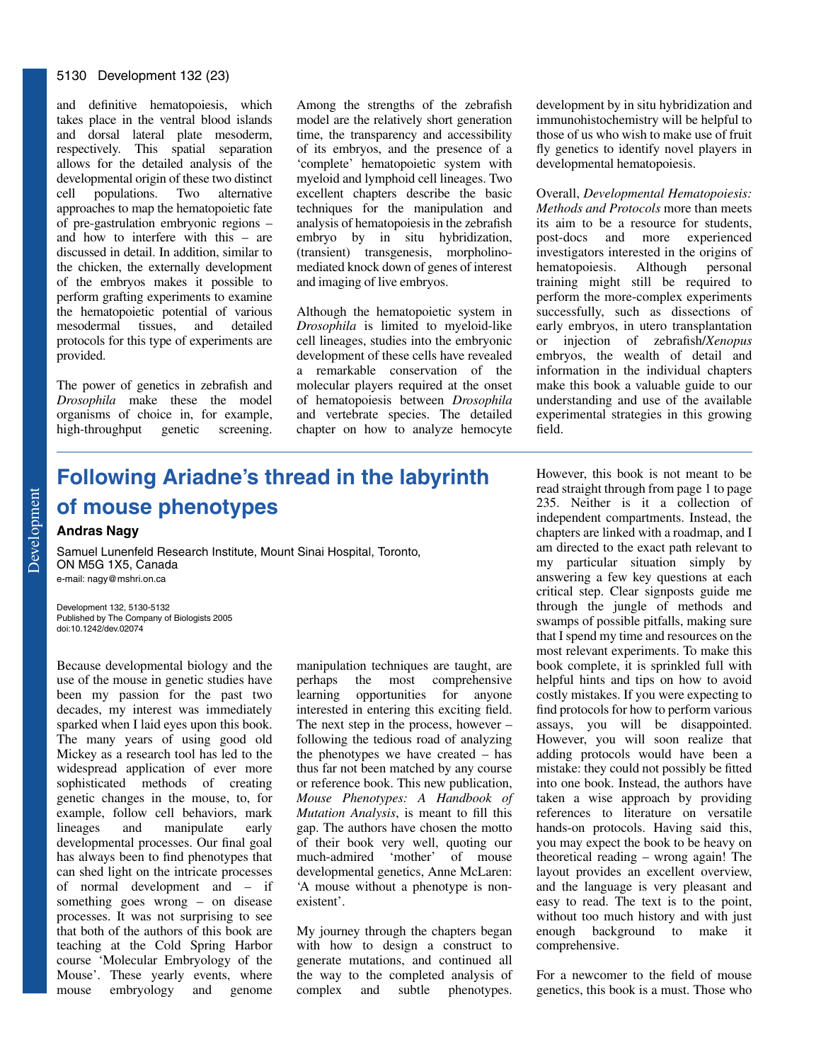#### 5130 Development 132 (23)

and definitive hematopoiesis, which takes place in the ventral blood islands and dorsal lateral plate mesoderm, respectively. This spatial separation allows for the detailed analysis of the developmental origin of these two distinct cell populations. Two alternative approaches to map the hematopoietic fate of pre-gastrulation embryonic regions – and how to interfere with this – are discussed in detail. In addition, similar to the chicken, the externally development of the embryos makes it possible to perform grafting experiments to examine the hematopoietic potential of various mesodermal tissues, and detailed protocols for this type of experiments are provided.

The power of genetics in zebrafish and *Drosophila* make these the model organisms of choice in, for example, high-throughput genetic screening. Among the strengths of the zebrafish model are the relatively short generation time, the transparency and accessibility of its embryos, and the presence of a 'complete' hematopoietic system with myeloid and lymphoid cell lineages. Two excellent chapters describe the basic techniques for the manipulation and analysis of hematopoiesis in the zebrafish embryo by in situ hybridization, (transient) transgenesis, morpholinomediated knock down of genes of interest and imaging of live embryos.

Although the hematopoietic system in *Drosophila* is limited to myeloid-like cell lineages, studies into the embryonic development of these cells have revealed a remarkable conservation of the molecular players required at the onset of hematopoiesis between *Drosophila* and vertebrate species. The detailed chapter on how to analyze hemocyte

development by in situ hybridization and immunohistochemistry will be helpful to those of us who wish to make use of fruit fly genetics to identify novel players in developmental hematopoiesis.

Overall, *Developmental Hematopoiesis: Methods and Protocols* more than meets its aim to be a resource for students, post-docs and more experienced investigators interested in the origins of hematopoiesis. Although personal training might still be required to perform the more-complex experiments successfully, such as dissections of early embryos, in utero transplantation or injection of zebrafish/*Xenopus* embryos, the wealth of detail and information in the individual chapters make this book a valuable guide to our understanding and use of the available experimental strategies in this growing field.

# **Following Ariadne's thread in the labyrinth of mouse phenotypes**

### **Andras Nagy**

Samuel Lunenfeld Research Institute, Mount Sinai Hospital, Toronto, ON M5G 1X5, Canada e-mail: nagy@mshri.on.ca

Development 132, 5130-5132 Published by The Company of Biologists 2005 doi:10.1242/dev.02074

Because developmental biology and the use of the mouse in genetic studies have been my passion for the past two decades, my interest was immediately sparked when I laid eyes upon this book. The many years of using good old Mickey as a research tool has led to the widespread application of ever more sophisticated methods of creating genetic changes in the mouse, to, for example, follow cell behaviors, mark lineages and manipulate early developmental processes. Our final goal has always been to find phenotypes that can shed light on the intricate processes of normal development and – if something goes wrong – on disease processes. It was not surprising to see that both of the authors of this book are teaching at the Cold Spring Harbor course 'Molecular Embryology of the Mouse'. These yearly events, where mouse embryology and genome manipulation techniques are taught, are perhaps the most comprehensive learning opportunities for anyone interested in entering this exciting field. The next step in the process, however – following the tedious road of analyzing the phenotypes we have created – has thus far not been matched by any course or reference book. This new publication, *Mouse Phenotypes: A Handbook of Mutation Analysis*, is meant to fill this gap. The authors have chosen the motto of their book very well, quoting our much-admired 'mother' of mouse developmental genetics, Anne McLaren: 'A mouse without a phenotype is nonexistent'.

My journey through the chapters began with how to design a construct to generate mutations, and continued all the way to the completed analysis of complex and subtle phenotypes.

However, this book is not meant to be read straight through from page 1 to page 235. Neither is it a collection of independent compartments. Instead, the chapters are linked with a roadmap, and I am directed to the exact path relevant to my particular situation simply by answering a few key questions at each critical step. Clear signposts guide me through the jungle of methods and swamps of possible pitfalls, making sure that I spend my time and resources on the most relevant experiments. To make this book complete, it is sprinkled full with helpful hints and tips on how to avoid costly mistakes. If you were expecting to find protocols for how to perform various assays, you will be disappointed. However, you will soon realize that adding protocols would have been a mistake: they could not possibly be fitted into one book. Instead, the authors have taken a wise approach by providing references to literature on versatile hands-on protocols. Having said this, you may expect the book to be heavy on theoretical reading – wrong again! The layout provides an excellent overview, and the language is very pleasant and easy to read. The text is to the point, without too much history and with just enough background to make it comprehensive.

For a newcomer to the field of mouse genetics, this book is a must. Those who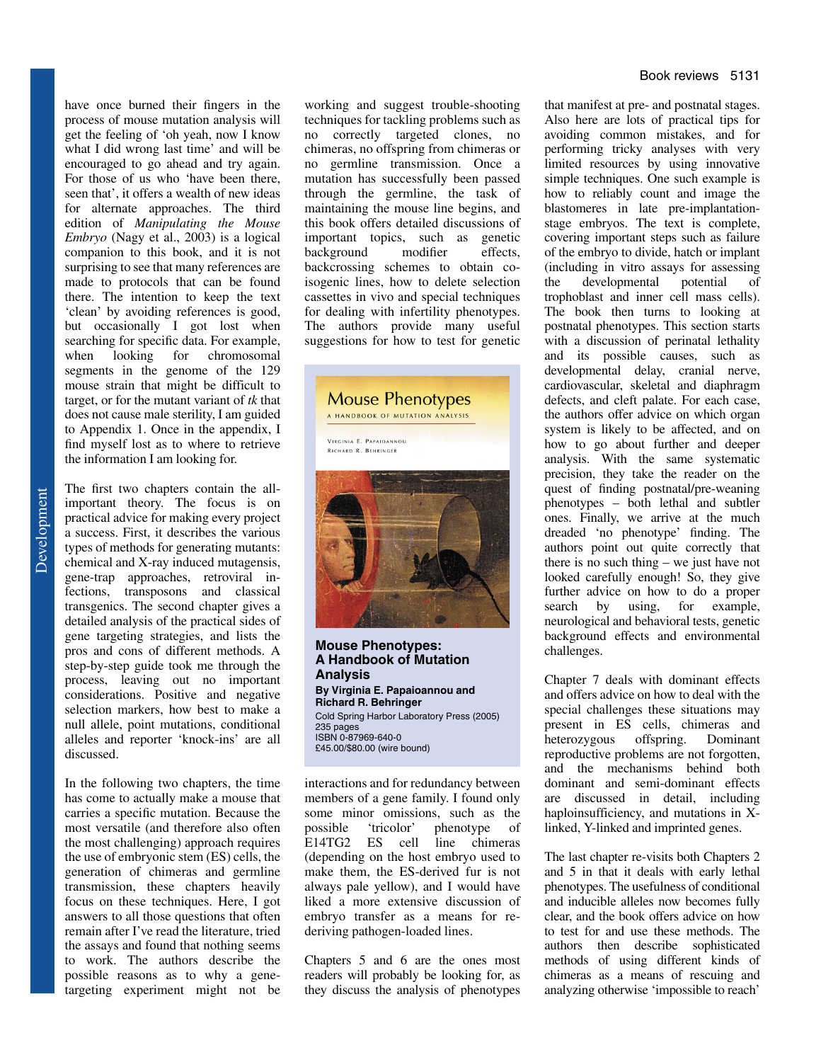have once burned their fingers in the process of mouse mutation analysis will get the feeling of 'oh yeah, now I know what I did wrong last time' and will be encouraged to go ahead and try again. For those of us who 'have been there, seen that', it offers a wealth of new ideas for alternate approaches. The third edition of *Manipulating the Mouse Embryo* (Nagy et al., 2003) is a logical companion to this book, and it is not surprising to see that many references are made to protocols that can be found there. The intention to keep the text 'clean' by avoiding references is good, but occasionally I got lost when searching for specific data. For example,<br>when looking for chromosomal when looking for chromosomal segments in the genome of the 129 mouse strain that might be difficult to target, or for the mutant variant of *tk* that does not cause male sterility, I am guided to Appendix 1. Once in the appendix, I find myself lost as to where to retrieve the information I am looking for.

The first two chapters contain the allimportant theory. The focus is on practical advice for making every project a success. First, it describes the various types of methods for generating mutants: chemical and X-ray induced mutagensis, gene-trap approaches, retroviral infections, transposons and classical transgenics. The second chapter gives a detailed analysis of the practical sides of gene targeting strategies, and lists the pros and cons of different methods. A step-by-step guide took me through the process, leaving out no important considerations. Positive and negative selection markers, how best to make a null allele, point mutations, conditional alleles and reporter 'knock-ins' are all discussed.

In the following two chapters, the time has come to actually make a mouse that carries a specific mutation. Because the most versatile (and therefore also often the most challenging) approach requires the use of embryonic stem (ES) cells, the generation of chimeras and germline transmission, these chapters heavily focus on these techniques. Here, I got answers to all those questions that often remain after I've read the literature, tried the assays and found that nothing seems to work. The authors describe the possible reasons as to why a genetargeting experiment might not be

working and suggest trouble-shooting techniques for tackling problems such as no correctly targeted clones, no chimeras, no offspring from chimeras or no germline transmission. Once a mutation has successfully been passed through the germline, the task of maintaining the mouse line begins, and this book offers detailed discussions of important topics, such as genetic background modifier effects, backcrossing schemes to obtain coisogenic lines, how to delete selection cassettes in vivo and special techniques for dealing with infertility phenotypes. The authors provide many useful suggestions for how to test for genetic



**Mouse Phenotypes: A Handbook of Mutation Analysis By Virginia E. Papaioannou and Richard R. Behringer** Cold Spring Harbor Laboratory Press (2005) 235 pages ISBN 0-87969-640-0 £45.00/\$80.00 (wire bound)

interactions and for redundancy between members of a gene family. I found only some minor omissions, such as the possible 'tricolor' phenotype of E14TG2 ES cell line chimeras (depending on the host embryo used to make them, the ES-derived fur is not always pale yellow), and I would have liked a more extensive discussion of embryo transfer as a means for rederiving pathogen-loaded lines.

Chapters 5 and 6 are the ones most readers will probably be looking for, as they discuss the analysis of phenotypes that manifest at pre- and postnatal stages. Also here are lots of practical tips for avoiding common mistakes, and for performing tricky analyses with very limited resources by using innovative simple techniques. One such example is how to reliably count and image the blastomeres in late pre-implantationstage embryos. The text is complete, covering important steps such as failure of the embryo to divide, hatch or implant (including in vitro assays for assessing the developmental potential of trophoblast and inner cell mass cells). The book then turns to looking at postnatal phenotypes. This section starts with a discussion of perinatal lethality and its possible causes, such as developmental delay, cranial nerve, cardiovascular, skeletal and diaphragm defects, and cleft palate. For each case, the authors offer advice on which organ system is likely to be affected, and on how to go about further and deeper analysis. With the same systematic precision, they take the reader on the quest of finding postnatal/pre-weaning phenotypes – both lethal and subtler ones. Finally, we arrive at the much dreaded 'no phenotype' finding. The authors point out quite correctly that there is no such thing – we just have not looked carefully enough! So, they give further advice on how to do a proper search by using, for example, neurological and behavioral tests, genetic background effects and environmental challenges.

Chapter 7 deals with dominant effects and offers advice on how to deal with the special challenges these situations may present in ES cells, chimeras and heterozygous offspring. Dominant reproductive problems are not forgotten, and the mechanisms behind both dominant and semi-dominant effects are discussed in detail, including haploinsufficiency, and mutations in Xlinked, Y-linked and imprinted genes.

The last chapter re-visits both Chapters 2 and 5 in that it deals with early lethal phenotypes. The usefulness of conditional and inducible alleles now becomes fully clear, and the book offers advice on how to test for and use these methods. The authors then describe sophisticated methods of using different kinds of chimeras as a means of rescuing and analyzing otherwise 'impossible to reach'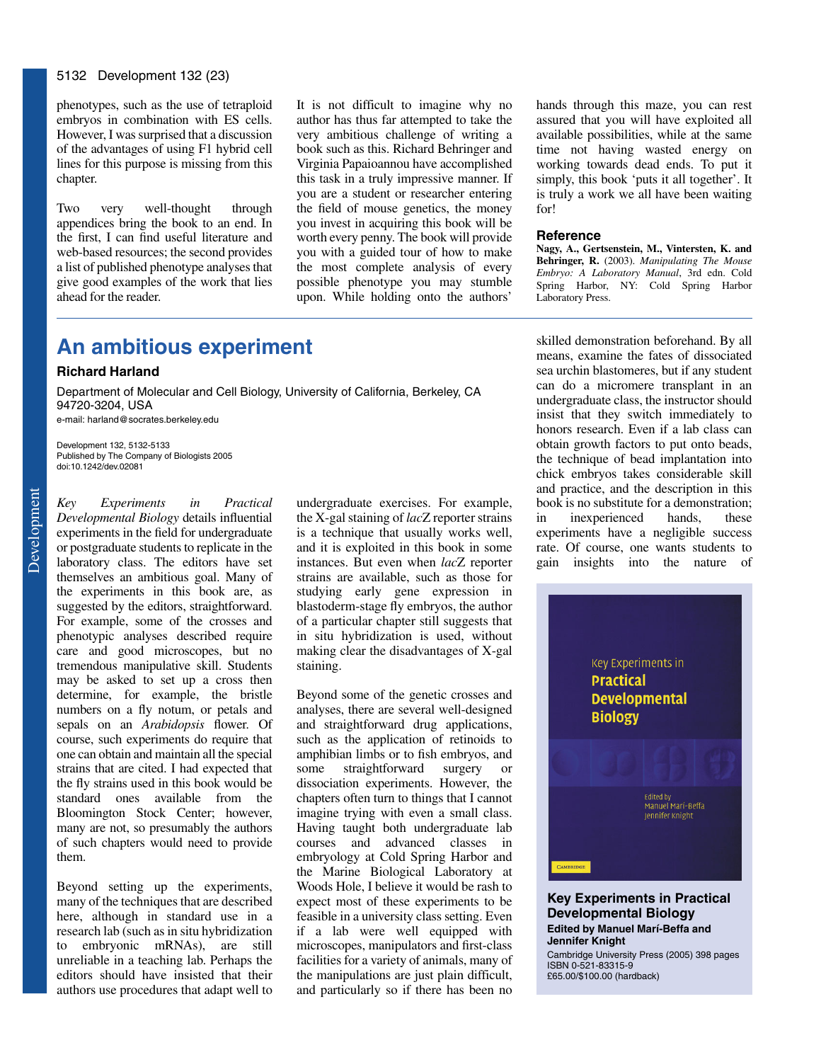#### 5132 Development 132 (23)

phenotypes, such as the use of tetraploid embryos in combination with ES cells. However, I was surprised that a discussion of the advantages of using F1 hybrid cell lines for this purpose is missing from this chapter.

Two very well-thought through appendices bring the book to an end. In the first, I can find useful literature and web-based resources; the second provides a list of published phenotype analyses that give good examples of the work that lies ahead for the reader.

It is not difficult to imagine why no author has thus far attempted to take the very ambitious challenge of writing a book such as this. Richard Behringer and Virginia Papaioannou have accomplished this task in a truly impressive manner. If you are a student or researcher entering the field of mouse genetics, the money you invest in acquiring this book will be worth every penny. The book will provide you with a guided tour of how to make the most complete analysis of every possible phenotype you may stumble upon. While holding onto the authors'

hands through this maze, you can rest assured that you will have exploited all available possibilities, while at the same time not having wasted energy on working towards dead ends. To put it simply, this book 'puts it all together'. It is truly a work we all have been waiting for!

#### **Reference**

**Nagy, A., Gertsenstein, M., Vintersten, K. and Behringer, R.** (2003). *Manipulating The Mouse Embryo: A Laboratory Manual*, 3rd edn. Cold Spring Harbor, NY: Cold Spring Harbor Laboratory Press.

## **An ambitious experiment**

#### **Richard Harland**

Department of Molecular and Cell Biology, University of California, Berkeley, CA 94720-3204, USA

e-mail: harland@socrates.berkeley.edu

Development 132, 5132-5133 Published by The Company of Biologists 2005 doi:10.1242/dev.02081

*Key Experiments in Practical Developmental Biology* details influential experiments in the field for undergraduate or postgraduate students to replicate in the laboratory class. The editors have set themselves an ambitious goal. Many of the experiments in this book are, as suggested by the editors, straightforward. For example, some of the crosses and phenotypic analyses described require care and good microscopes, but no tremendous manipulative skill. Students may be asked to set up a cross then determine, for example, the bristle numbers on a fly notum, or petals and sepals on an *Arabidopsis* flower. Of course, such experiments do require that one can obtain and maintain all the special strains that are cited. I had expected that the fly strains used in this book would be standard ones available from the Bloomington Stock Center; however, many are not, so presumably the authors of such chapters would need to provide them.

Beyond setting up the experiments, many of the techniques that are described here, although in standard use in a research lab (such as in situ hybridization to embryonic mRNAs), are still unreliable in a teaching lab. Perhaps the editors should have insisted that their authors use procedures that adapt well to undergraduate exercises. For example, the X-gal staining of *lac*Z reporter strains is a technique that usually works well, and it is exploited in this book in some instances. But even when *lac*Z reporter strains are available, such as those for studying early gene expression in blastoderm-stage fly embryos, the author of a particular chapter still suggests that in situ hybridization is used, without making clear the disadvantages of X-gal staining.

Beyond some of the genetic crosses and analyses, there are several well-designed and straightforward drug applications, such as the application of retinoids to amphibian limbs or to fish embryos, and some straightforward surgery or dissociation experiments. However, the chapters often turn to things that I cannot imagine trying with even a small class. Having taught both undergraduate lab courses and advanced classes in embryology at Cold Spring Harbor and the Marine Biological Laboratory at Woods Hole, I believe it would be rash to expect most of these experiments to be feasible in a university class setting. Even if a lab were well equipped with microscopes, manipulators and first-class facilities for a variety of animals, many of the manipulations are just plain difficult, and particularly so if there has been no

skilled demonstration beforehand. By all means, examine the fates of dissociated sea urchin blastomeres, but if any student can do a micromere transplant in an undergraduate class, the instructor should insist that they switch immediately to honors research. Even if a lab class can obtain growth factors to put onto beads, the technique of bead implantation into chick embryos takes considerable skill and practice, and the description in this book is no substitute for a demonstration; in inexperienced hands, these experiments have a negligible success rate. Of course, one wants students to gain insights into the nature of



#### **Key Experiments in Practical Developmental Biology Edited by Manuel Marí-Beffa and Jennifer Knight**

Cambridge University Press (2005) 398 pages ISBN 0-521-83315-9 £65.00/\$100.00 (hardback)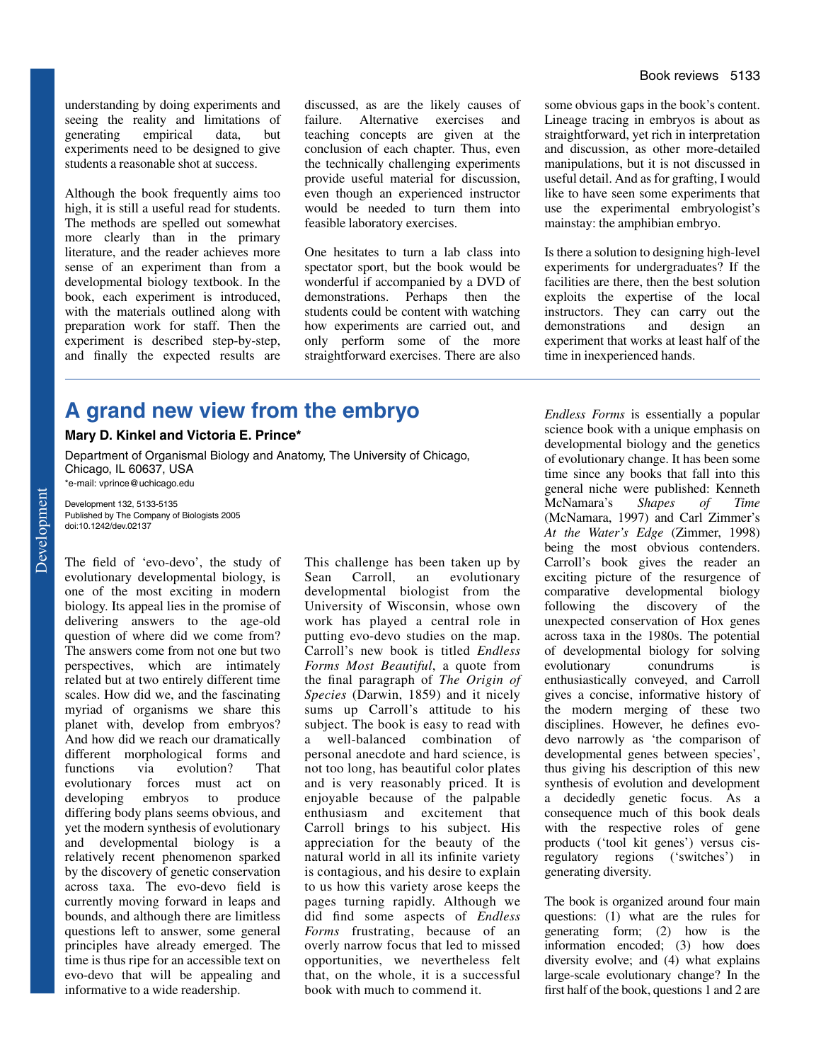understanding by doing experiments and seeing the reality and limitations of generating empirical data, but experiments need to be designed to give students a reasonable shot at success.

Although the book frequently aims too high, it is still a useful read for students. The methods are spelled out somewhat more clearly than in the primary literature, and the reader achieves more sense of an experiment than from a developmental biology textbook. In the book, each experiment is introduced, with the materials outlined along with preparation work for staff. Then the experiment is described step-by-step, and finally the expected results are discussed, as are the likely causes of failure. Alternative exercises and teaching concepts are given at the conclusion of each chapter. Thus, even the technically challenging experiments provide useful material for discussion, even though an experienced instructor would be needed to turn them into feasible laboratory exercises.

One hesitates to turn a lab class into spectator sport, but the book would be wonderful if accompanied by a DVD of demonstrations. Perhaps then the students could be content with watching how experiments are carried out, and only perform some of the more straightforward exercises. There are also some obvious gaps in the book's content. Lineage tracing in embryos is about as straightforward, yet rich in interpretation and discussion, as other more-detailed manipulations, but it is not discussed in useful detail. And as for grafting, I would like to have seen some experiments that use the experimental embryologist's mainstay: the amphibian embryo.

Is there a solution to designing high-level experiments for undergraduates? If the facilities are there, then the best solution exploits the expertise of the local instructors. They can carry out the demonstrations and design an experiment that works at least half of the time in inexperienced hands.

## **A grand new view from the embryo**

#### **Mary D. Kinkel and Victoria E. Prince\***

Department of Organismal Biology and Anatomy, The University of Chicago, Chicago, IL 60637, USA \*e-mail: vprince@uchicago.edu

Development 132, 5133-5135 Published by The Company of Biologists 2005 doi:10.1242/dev.02137

The field of 'evo-devo', the study of evolutionary developmental biology, is one of the most exciting in modern biology. Its appeal lies in the promise of delivering answers to the age-old question of where did we come from? The answers come from not one but two perspectives, which are intimately related but at two entirely different time scales. How did we, and the fascinating myriad of organisms we share this planet with, develop from embryos? And how did we reach our dramatically different morphological forms and functions via evolution? That evolutionary forces must act on developing embryos to produce differing body plans seems obvious, and yet the modern synthesis of evolutionary and developmental biology is a relatively recent phenomenon sparked by the discovery of genetic conservation across taxa. The evo-devo field is currently moving forward in leaps and bounds, and although there are limitless questions left to answer, some general principles have already emerged. The time is thus ripe for an accessible text on evo-devo that will be appealing and informative to a wide readership.

This challenge has been taken up by Sean Carroll, an evolutionary developmental biologist from the University of Wisconsin, whose own work has played a central role in putting evo-devo studies on the map. Carroll's new book is titled *Endless Forms Most Beautiful*, a quote from the final paragraph of *The Origin of Species* (Darwin, 1859) and it nicely sums up Carroll's attitude to his subject. The book is easy to read with a well-balanced combination of personal anecdote and hard science, is not too long, has beautiful color plates and is very reasonably priced. It is enjoyable because of the palpable enthusiasm and excitement that Carroll brings to his subject. His appreciation for the beauty of the natural world in all its infinite variety is contagious, and his desire to explain to us how this variety arose keeps the pages turning rapidly. Although we did find some aspects of *Endless Forms* frustrating, because of an overly narrow focus that led to missed opportunities, we nevertheless felt that, on the whole, it is a successful book with much to commend it.

*Endless Forms* is essentially a popular science book with a unique emphasis on developmental biology and the genetics of evolutionary change. It has been some time since any books that fall into this general niche were published: Kenneth McNamara's *Shapes of Time* (McNamara, 1997) and Carl Zimmer's *At the Water's Edge* (Zimmer, 1998) being the most obvious contenders. Carroll's book gives the reader an exciting picture of the resurgence of comparative developmental biology following the discovery of the unexpected conservation of Hox genes across taxa in the 1980s. The potential of developmental biology for solving evolutionary conundrums is enthusiastically conveyed, and Carroll gives a concise, informative history of the modern merging of these two disciplines. However, he defines evodevo narrowly as 'the comparison of developmental genes between species', thus giving his description of this new synthesis of evolution and development a decidedly genetic focus. As a consequence much of this book deals with the respective roles of gene products ('tool kit genes') versus cisregulatory regions ('switches') in generating diversity.

The book is organized around four main questions: (1) what are the rules for generating form; (2) how is the information encoded; (3) how does diversity evolve; and (4) what explains large-scale evolutionary change? In the first half of the book, questions 1 and 2 are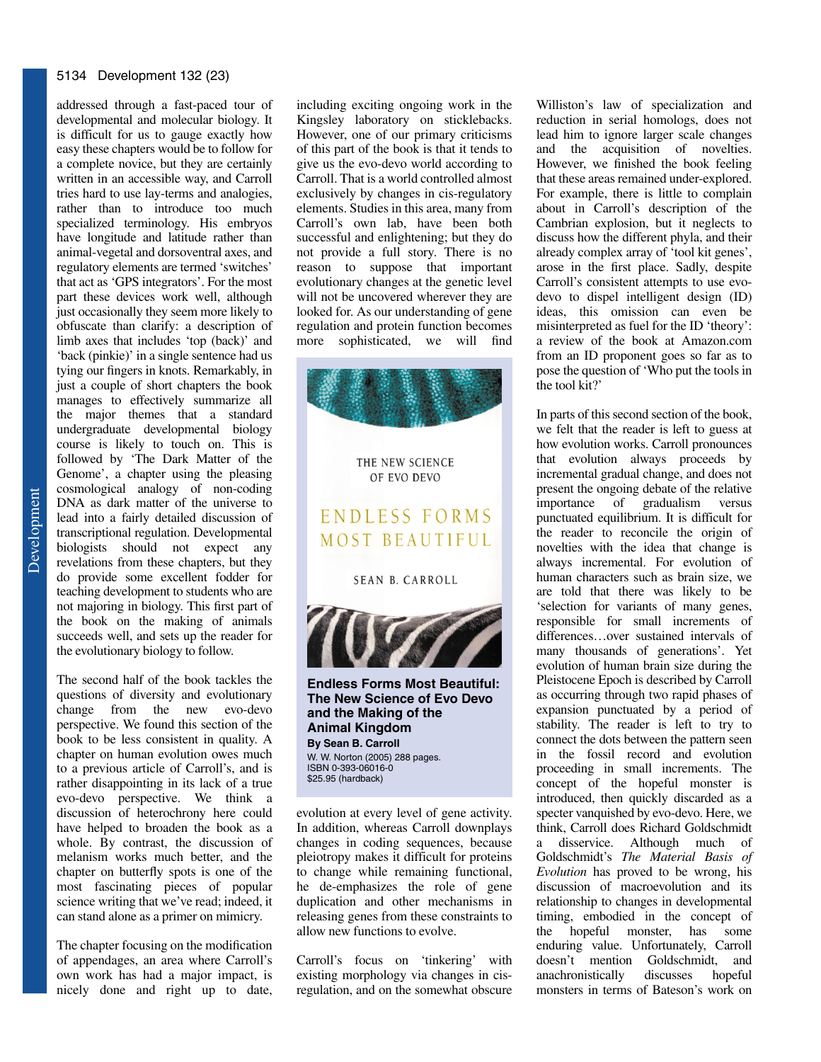#### 5134 Development 132 (23)

addressed through a fast-paced tour of developmental and molecular biology. It is difficult for us to gauge exactly how easy these chapters would be to follow for a complete novice, but they are certainly written in an accessible way, and Carroll tries hard to use lay-terms and analogies, rather than to introduce too much specialized terminology. His embryos have longitude and latitude rather than animal-vegetal and dorsoventral axes, and regulatory elements are termed 'switches' that act as 'GPS integrators'. For the most part these devices work well, although just occasionally they seem more likely to obfuscate than clarify: a description of limb axes that includes 'top (back)' and 'back (pinkie)' in a single sentence had us tying our fingers in knots. Remarkably, in just a couple of short chapters the book manages to effectively summarize all the major themes that a standard undergraduate developmental biology course is likely to touch on. This is followed by 'The Dark Matter of the Genome', a chapter using the pleasing cosmological analogy of non-coding DNA as dark matter of the universe to lead into a fairly detailed discussion of transcriptional regulation. Developmental biologists should not expect any revelations from these chapters, but they do provide some excellent fodder for teaching development to students who are not majoring in biology. This first part of the book on the making of animals succeeds well, and sets up the reader for the evolutionary biology to follow.

The second half of the book tackles the questions of diversity and evolutionary change from the new evo-devo perspective. We found this section of the book to be less consistent in quality. A chapter on human evolution owes much to a previous article of Carroll's, and is rather disappointing in its lack of a true evo-devo perspective. We think a discussion of heterochrony here could have helped to broaden the book as a whole. By contrast, the discussion of melanism works much better, and the chapter on butterfly spots is one of the most fascinating pieces of popular science writing that we've read; indeed, it can stand alone as a primer on mimicry.

The chapter focusing on the modification of appendages, an area where Carroll's own work has had a major impact, is nicely done and right up to date, including exciting ongoing work in the Kingsley laboratory on sticklebacks. However, one of our primary criticisms of this part of the book is that it tends to give us the evo-devo world according to Carroll. That is a world controlled almost exclusively by changes in cis-regulatory elements. Studies in this area, many from Carroll's own lab, have been both successful and enlightening; but they do not provide a full story. There is no reason to suppose that important evolutionary changes at the genetic level will not be uncovered wherever they are looked for. As our understanding of gene regulation and protein function becomes more sophisticated, we will find



**By Sean B. Carroll** W. W. Norton (2005) 288 pages. ISBN 0-393-06016-0 \$25.95 (hardback)

evolution at every level of gene activity. In addition, whereas Carroll downplays changes in coding sequences, because pleiotropy makes it difficult for proteins to change while remaining functional, he de-emphasizes the role of gene duplication and other mechanisms in releasing genes from these constraints to allow new functions to evolve.

Carroll's focus on 'tinkering' with existing morphology via changes in cisregulation, and on the somewhat obscure Williston's law of specialization and reduction in serial homologs, does not lead him to ignore larger scale changes and the acquisition of novelties. However, we finished the book feeling that these areas remained under-explored. For example, there is little to complain about in Carroll's description of the Cambrian explosion, but it neglects to discuss how the different phyla, and their already complex array of 'tool kit genes', arose in the first place. Sadly, despite Carroll's consistent attempts to use evodevo to dispel intelligent design (ID) ideas, this omission can even be misinterpreted as fuel for the ID 'theory': a review of the book at Amazon.com from an ID proponent goes so far as to pose the question of 'Who put the tools in the tool kit?'

In parts of this second section of the book, we felt that the reader is left to guess at how evolution works. Carroll pronounces that evolution always proceeds by incremental gradual change, and does not present the ongoing debate of the relative importance of gradualism versus punctuated equilibrium. It is difficult for the reader to reconcile the origin of novelties with the idea that change is always incremental. For evolution of human characters such as brain size, we are told that there was likely to be 'selection for variants of many genes, responsible for small increments of differences…over sustained intervals of many thousands of generations'. Yet evolution of human brain size during the Pleistocene Epoch is described by Carroll as occurring through two rapid phases of expansion punctuated by a period of stability. The reader is left to try to connect the dots between the pattern seen in the fossil record and evolution proceeding in small increments. The concept of the hopeful monster is introduced, then quickly discarded as a specter vanquished by evo-devo. Here, we think, Carroll does Richard Goldschmidt a disservice. Although much of Goldschmidt's *The Material Basis of Evolution* has proved to be wrong, his discussion of macroevolution and its relationship to changes in developmental timing, embodied in the concept of the hopeful monster, has some enduring value. Unfortunately, Carroll doesn't mention Goldschmidt, and anachronistically discusses hopeful monsters in terms of Bateson's work on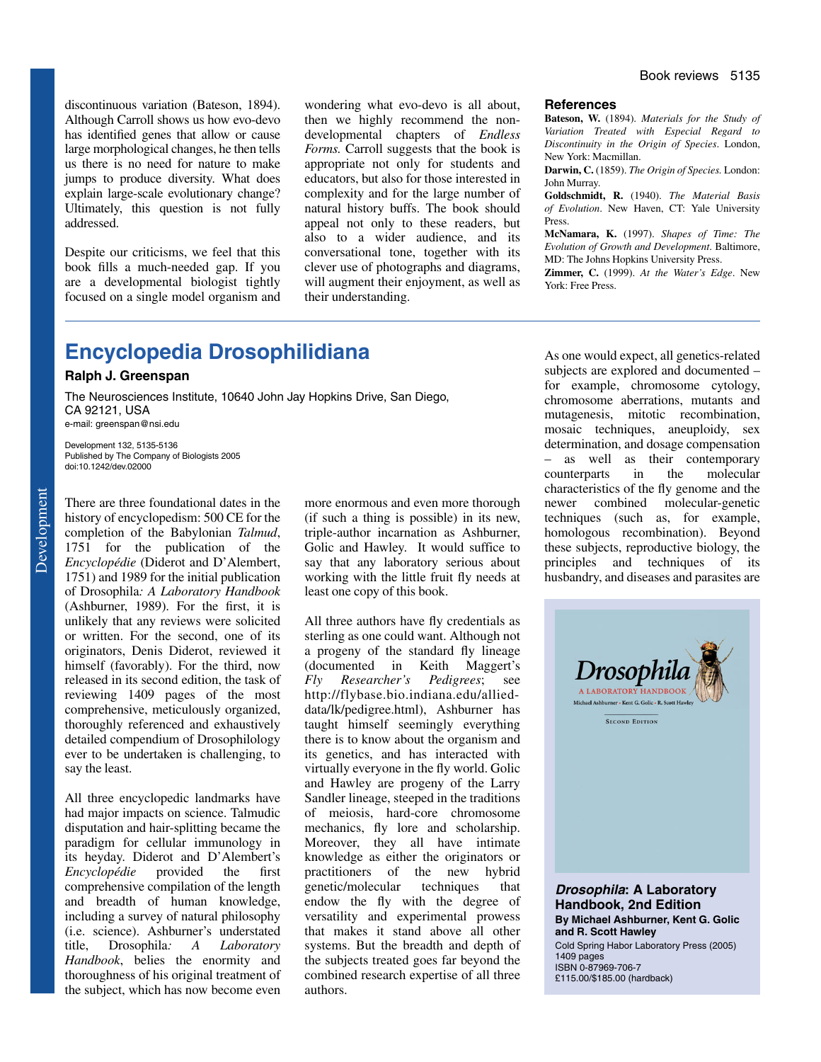discontinuous variation (Bateson, 1894). Although Carroll shows us how evo-devo has identified genes that allow or cause large morphological changes, he then tells us there is no need for nature to make jumps to produce diversity. What does explain large-scale evolutionary change? Ultimately, this question is not fully addressed.

Despite our criticisms, we feel that this book fills a much-needed gap. If you are a developmental biologist tightly focused on a single model organism and wondering what evo-devo is all about, then we highly recommend the nondevelopmental chapters of *Endless Forms.* Carroll suggests that the book is appropriate not only for students and educators, but also for those interested in complexity and for the large number of natural history buffs. The book should appeal not only to these readers, but also to a wider audience, and its conversational tone, together with its clever use of photographs and diagrams, will augment their enjoyment, as well as their understanding.

#### **References**

**Bateson, W.** (1894). *Materials for the Study of Variation Treated with Especial Regard to Discontinuity in the Origin of Species*. London, New York: Macmillan.

**Darwin, C.** (1859). *The Origin of Species.* London: John Murray.

**Goldschmidt, R.** (1940). *The Material Basis of Evolution*. New Haven, CT: Yale University Press.

**McNamara, K.** (1997). *Shapes of Time: The Evolution of Growth and Development*. Baltimore, MD: The Johns Hopkins University Press.

**Zimmer, C.** (1999). *At the Water's Edge*. New York: Free Press.

## **Encyclopedia Drosophilidiana**

#### **Ralph J. Greenspan**

The Neurosciences Institute, 10640 John Jay Hopkins Drive, San Diego, CA 92121, USA e-mail: greenspan@nsi.edu

Development 132, 5135-5136 Published by The Company of Biologists 2005 doi:10.1242/dev.02000

There are three foundational dates in the history of encyclopedism: 500 CE for the completion of the Babylonian *Talmud*, 1751 for the publication of the *Encyclopédie* (Diderot and D'Alembert, 1751) and 1989 for the initial publication of Drosophila*: A Laboratory Handbook* (Ashburner, 1989). For the first, it is unlikely that any reviews were solicited or written. For the second, one of its originators, Denis Diderot, reviewed it himself (favorably). For the third, now released in its second edition, the task of reviewing 1409 pages of the most comprehensive, meticulously organized, thoroughly referenced and exhaustively detailed compendium of Drosophilology ever to be undertaken is challenging, to say the least.

All three encyclopedic landmarks have had major impacts on science. Talmudic disputation and hair-splitting became the paradigm for cellular immunology in its heyday. Diderot and D'Alembert's *Encyclopédie* provided the first comprehensive compilation of the length and breadth of human knowledge, including a survey of natural philosophy (i.e. science). Ashburner's understated title, Drosophila*: A Laboratory Handbook*, belies the enormity and thoroughness of his original treatment of the subject, which has now become even more enormous and even more thorough (if such a thing is possible) in its new, triple-author incarnation as Ashburner, Golic and Hawley. It would suffice to say that any laboratory serious about working with the little fruit fly needs at least one copy of this book.

All three authors have fly credentials as sterling as one could want. Although not a progeny of the standard fly lineage (documented in Keith Maggert's *Fly Researcher's Pedigrees*; see http://flybase.bio.indiana.edu/allieddata/lk/pedigree.html), Ashburner has taught himself seemingly everything there is to know about the organism and its genetics, and has interacted with virtually everyone in the fly world. Golic and Hawley are progeny of the Larry Sandler lineage, steeped in the traditions of meiosis, hard-core chromosome mechanics, fly lore and scholarship. Moreover, they all have intimate knowledge as either the originators or practitioners of the new hybrid genetic/molecular techniques that endow the fly with the degree of versatility and experimental prowess that makes it stand above all other systems. But the breadth and depth of the subjects treated goes far beyond the combined research expertise of all three authors.

As one would expect, all genetics-related subjects are explored and documented – for example, chromosome cytology, chromosome aberrations, mutants and mutagenesis, mitotic recombination, mosaic techniques, aneuploidy, sex determination, and dosage compensation – as well as their contemporary counterparts in the molecular characteristics of the fly genome and the newer combined molecular-genetic techniques (such as, for example, homologous recombination). Beyond these subjects, reproductive biology, the principles and techniques of its husbandry, and diseases and parasites are



1409 pages ISBN 0-87969-706-7 £115.00/\$185.00 (hardback)